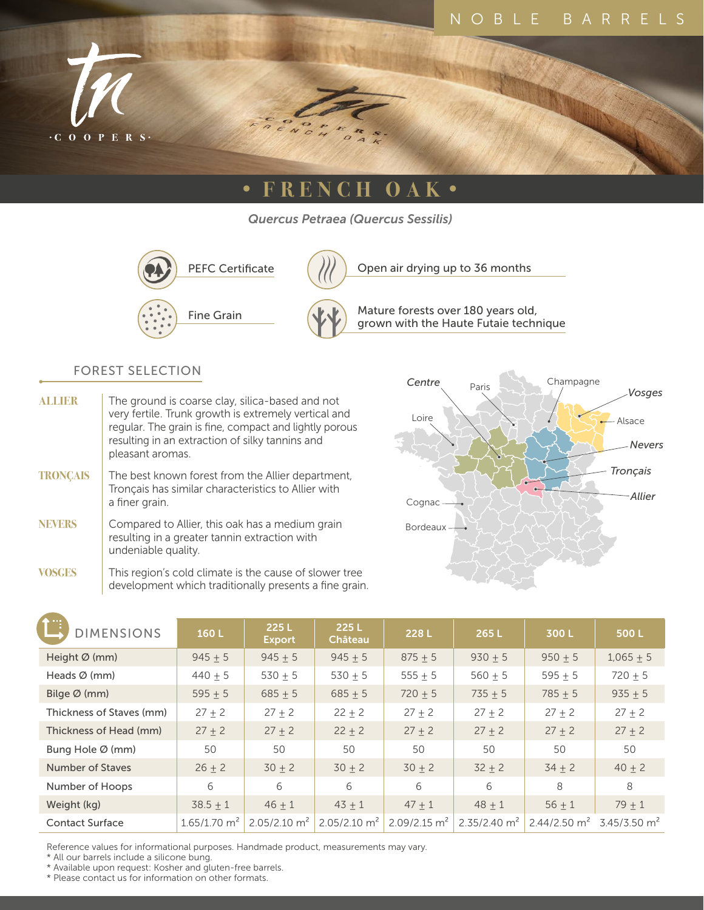

# **• FRENCH OAK •**

*Quercus Petraea (Quercus Sessilis)*



PEFC Certificate  $\left(\frac{1}{1}\right)$  Open air drying up to 36 months

Mature forests over 180 years old, Fine Grain  $\left(\begin{matrix} 1 & 1 \\ 1 & 1 \end{matrix}\right)$  Mature forests over 180 years old,<br>grown with the Haute Futaie technique

#### FOREST SELECTION

| <b>ALLIER</b>   | The ground is coarse clay, silica-based and not<br>very fertile. Trunk growth is extremely vertical and<br>regular. The grain is fine, compact and lightly porous<br>resulting in an extraction of silky tannins and<br>pleasant aromas. |
|-----------------|------------------------------------------------------------------------------------------------------------------------------------------------------------------------------------------------------------------------------------------|
| <b>TRONCAIS</b> | The best known forest from the Allier department,<br>Tronçais has similar characteristics to Allier with<br>a finer grain.                                                                                                               |
| <b>NEVERS</b>   | Compared to Allier, this oak has a medium grain<br>resulting in a greater tannin extraction with<br>undeniable quality.                                                                                                                  |
|                 | This region's cold climate is the cause of slower tree                                                                                                                                                                                   |

**VOSGES** This region's cold climate is the cause of slower tree development which traditionally presents a fine grain.



| <b>DIMENSIONS</b>         | 160L                       | 225L<br><b>Export</b>      | 225L<br>Château | 228L            | 265L                    | 300L                                             | 500L        |
|---------------------------|----------------------------|----------------------------|-----------------|-----------------|-------------------------|--------------------------------------------------|-------------|
| Height $\varnothing$ (mm) | $945 \pm 5$                | $945 + 5$                  | $945 + 5$       | $875 + 5$       | $930 + 5$               | $950 + 5$                                        | $1,065 + 5$ |
| Heads $\varnothing$ (mm)  | $440 + 5$                  | $530 + 5$                  | $530 + 5$       | 555 $\pm$ 5     | $560 + 5$               | $595 + 5$                                        | $720 + 5$   |
| Bilge $\varnothing$ (mm)  | 595 $\pm$ 5                | $685 + 5$                  | $685 + 5$       | $720 \pm 5$     | $735 + 5$               | $785 + 5$                                        | $935 + 5$   |
| Thickness of Staves (mm)  | $27 + 2$                   | $27 + 2$                   | $22 + 2$        | $27 + 2$        | $27 + 2$                | $27 + 2$                                         | $27 + 2$    |
| Thickness of Head (mm)    | $27 + 2$                   | $27 + 2$                   | $22 + 2$        | $27 + 2$        | $27 + 2$                | $27 + 2$                                         | $27 + 2$    |
| Bung Hole Ø (mm)          | 50                         | 50                         | 50              | 50              | 50                      | 50                                               | 50          |
| Number of Staves          | $26 + 2$                   | $30 + 2$                   | $30 + 2$        | $30 + 2$        | $32 + 2$                | $34 + 2$                                         | $40 + 2$    |
| Number of Hoops           | 6                          | 6                          | 6               | 6               | 6                       | 8                                                | 8           |
| Weight (kg)               | $38.5 \pm 1$               | $46 + 1$                   | $43 + 1$        | $47 + 1$        | $48 + 1$                | $56 + 1$                                         | $79 + 1$    |
| <b>Contact Surface</b>    | $1.65/1.70$ m <sup>2</sup> | $2.05/2.10$ m <sup>2</sup> | 2.05/2.10 $m^2$ | 2.09/2.15 $m^2$ | $2.35/2.40 \text{ m}^2$ | $2.44/2.50 \text{ m}^2$ 3.45/3.50 m <sup>2</sup> |             |

Reference values for informational purposes. Handmade product, measurements may vary.

\* All our barrels include a silicone bung.

\* Available upon request: Kosher and gluten-free barrels.

\* Please contact us for information on other formats.